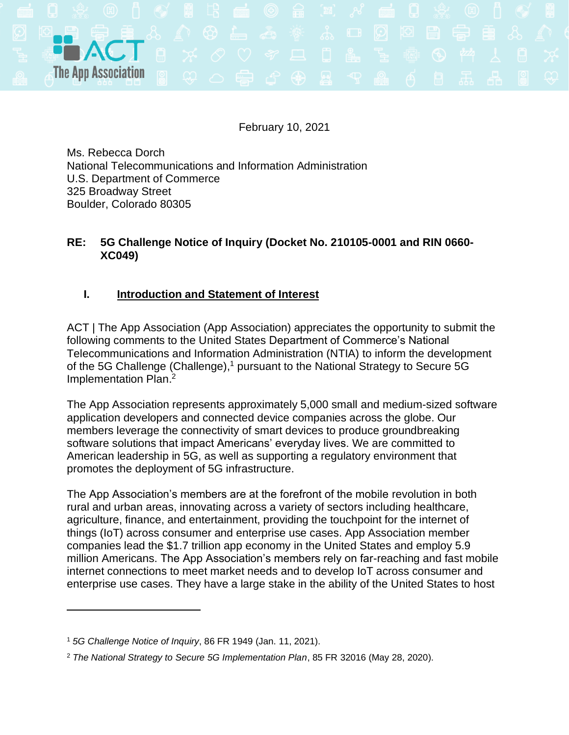

February 10, 2021

Ms. Rebecca Dorch National Telecommunications and Information Administration U.S. Department of Commerce 325 Broadway Street Boulder, Colorado 80305

## **RE: 5G Challenge Notice of Inquiry (Docket No. 210105-0001 and RIN 0660- XC049)**

# **I. Introduction and Statement of Interest**

ACT | The App Association (App Association) appreciates the opportunity to submit the following comments to the United States Department of Commerce's National Telecommunications and Information Administration (NTIA) to inform the development of the 5G Challenge (Challenge),<sup>1</sup> pursuant to the National Strategy to Secure 5G Implementation Plan. 2

The App Association represents approximately 5,000 small and medium-sized software application developers and connected device companies across the globe. Our members leverage the connectivity of smart devices to produce groundbreaking software solutions that impact Americans' everyday lives. We are committed to American leadership in 5G, as well as supporting a regulatory environment that promotes the deployment of 5G infrastructure.

The App Association's members are at the forefront of the mobile revolution in both rural and urban areas, innovating across a variety of sectors including healthcare, agriculture, finance, and entertainment, providing the touchpoint for the internet of things (IoT) across consumer and enterprise use cases. App Association member companies lead the \$1.7 trillion app economy in the United States and employ 5.9 million Americans. The App Association's members rely on far-reaching and fast mobile internet connections to meet market needs and to develop IoT across consumer and enterprise use cases. They have a large stake in the ability of the United States to host

<sup>1</sup> *5G Challenge Notice of Inquiry*, 86 FR 1949 (Jan. 11, 2021).

<sup>2</sup> *The National Strategy to Secure 5G Implementation Plan*, 85 FR 32016 (May 28, 2020).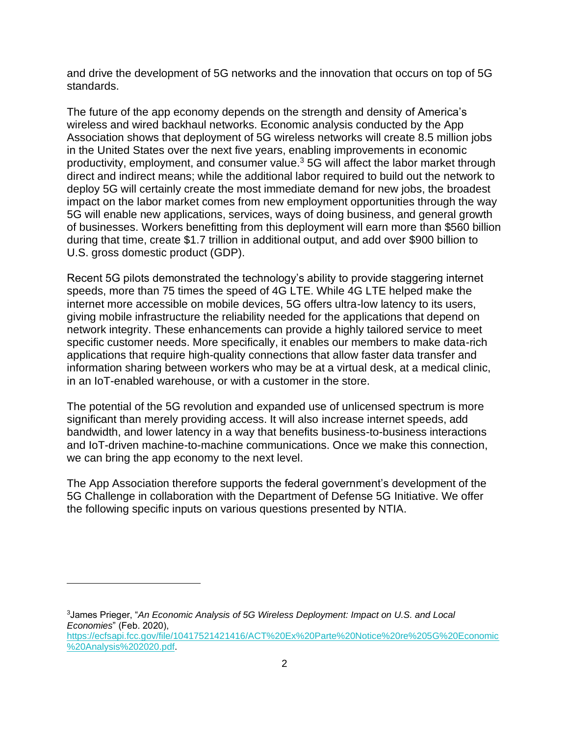and drive the development of 5G networks and the innovation that occurs on top of 5G standards.

The future of the app economy depends on the strength and density of America's wireless and wired backhaul networks. Economic analysis conducted by the App Association shows that deployment of 5G wireless networks will create 8.5 million jobs in the United States over the next five years, enabling improvements in economic productivity, employment, and consumer value.<sup>3</sup> 5G will affect the labor market through direct and indirect means; while the additional labor required to build out the network to deploy 5G will certainly create the most immediate demand for new jobs, the broadest impact on the labor market comes from new employment opportunities through the way 5G will enable new applications, services, ways of doing business, and general growth of businesses. Workers benefitting from this deployment will earn more than \$560 billion during that time, create \$1.7 trillion in additional output, and add over \$900 billion to U.S. gross domestic product (GDP).

Recent 5G pilots demonstrated the technology's ability to provide staggering internet speeds, more than 75 times the speed of 4G LTE. While 4G LTE helped make the internet more accessible on mobile devices, 5G offers ultra-low latency to its users, giving mobile infrastructure the reliability needed for the applications that depend on network integrity. These enhancements can provide a highly tailored service to meet specific customer needs. More specifically, it enables our members to make data-rich applications that require high-quality connections that allow faster data transfer and information sharing between workers who may be at a virtual desk, at a medical clinic, in an IoT-enabled warehouse, or with a customer in the store.

The potential of the 5G revolution and expanded use of unlicensed spectrum is more significant than merely providing access. It will also increase internet speeds, add bandwidth, and lower latency in a way that benefits business-to-business interactions and IoT-driven machine-to-machine communications. Once we make this connection, we can bring the app economy to the next level.

The App Association therefore supports the federal government's development of the 5G Challenge in collaboration with the Department of Defense 5G Initiative. We offer the following specific inputs on various questions presented by NTIA.

<sup>3</sup>James Prieger, "*An Economic Analysis of 5G Wireless Deployment: Impact on U.S. and Local Economies*" (Feb. 2020), [https://ecfsapi.fcc.gov/file/10417521421416/ACT%20Ex%20Parte%20Notice%20re%205G%20Economic](https://ecfsapi.fcc.gov/file/10417521421416/ACT%20Ex%20Parte%20Notice%20re%205G%20Economic%20Analysis%202020.pdf) [%20Analysis%202020.pdf.](https://ecfsapi.fcc.gov/file/10417521421416/ACT%20Ex%20Parte%20Notice%20re%205G%20Economic%20Analysis%202020.pdf)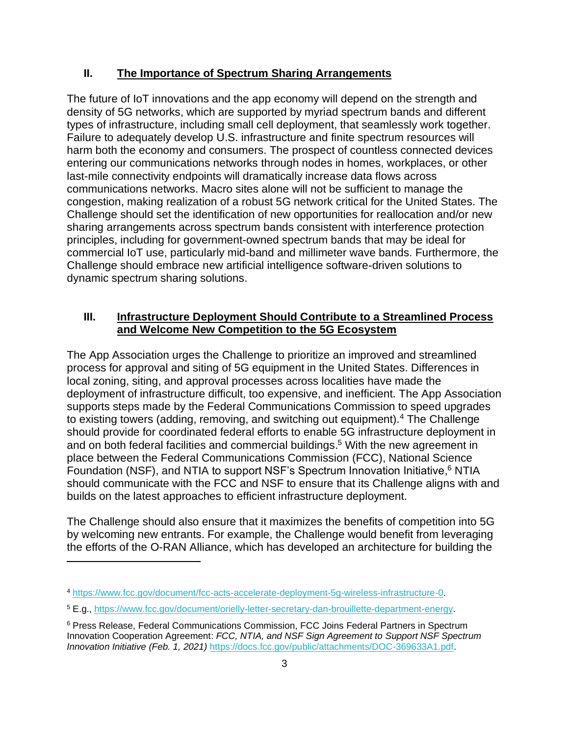## **II. The Importance of Spectrum Sharing Arrangements**

The future of IoT innovations and the app economy will depend on the strength and density of 5G networks, which are supported by myriad spectrum bands and different types of infrastructure, including small cell deployment, that seamlessly work together. Failure to adequately develop U.S. infrastructure and finite spectrum resources will harm both the economy and consumers. The prospect of countless connected devices entering our communications networks through nodes in homes, workplaces, or other last-mile connectivity endpoints will dramatically increase data flows across communications networks. Macro sites alone will not be sufficient to manage the congestion, making realization of a robust 5G network critical for the United States. The Challenge should set the identification of new opportunities for reallocation and/or new sharing arrangements across spectrum bands consistent with interference protection principles, including for government-owned spectrum bands that may be ideal for commercial IoT use, particularly mid-band and millimeter wave bands. Furthermore, the Challenge should embrace new artificial intelligence software-driven solutions to dynamic spectrum sharing solutions.

## **III. Infrastructure Deployment Should Contribute to a Streamlined Process and Welcome New Competition to the 5G Ecosystem**

The App Association urges the Challenge to prioritize an improved and streamlined process for approval and siting of 5G equipment in the United States. Differences in local zoning, siting, and approval processes across localities have made the deployment of infrastructure difficult, too expensive, and inefficient. The App Association supports steps made by the Federal Communications Commission to speed upgrades to existing towers (adding, removing, and switching out equipment).<sup>4</sup> The Challenge should provide for coordinated federal efforts to enable 5G infrastructure deployment in and on both federal facilities and commercial buildings. <sup>5</sup> With the new agreement in place between the Federal Communications Commission (FCC), National Science Foundation (NSF), and NTIA to support NSF's Spectrum Innovation Initiative,<sup>6</sup> NTIA should communicate with the FCC and NSF to ensure that its Challenge aligns with and builds on the latest approaches to efficient infrastructure deployment.

The Challenge should also ensure that it maximizes the benefits of competition into 5G by welcoming new entrants. For example, the Challenge would benefit from leveraging the efforts of the O-RAN Alliance, which has developed an architecture for building the

<sup>4</sup> [https://www.fcc.gov/document/fcc-acts-accelerate-deployment-5g-wireless-infrastructure-0.](https://www.fcc.gov/document/fcc-acts-accelerate-deployment-5g-wireless-infrastructure-0) 

<sup>5</sup> E.g., [https://www.fcc.gov/document/orielly-letter-secretary-dan-brouillette-department-energy.](https://www.fcc.gov/document/orielly-letter-secretary-dan-brouillette-department-energy)

<sup>6</sup> Press Release, Federal Communications Commission, FCC Joins Federal Partners in Spectrum Innovation Cooperation Agreement: *FCC, NTIA, and NSF Sign Agreement to Support NSF Spectrum Innovation Initiative (Feb. 1, 2021)* [https://docs.fcc.gov/public/attachments/DOC-369633A1.pdf.](https://docs.fcc.gov/public/attachments/DOC-369633A1.pdf)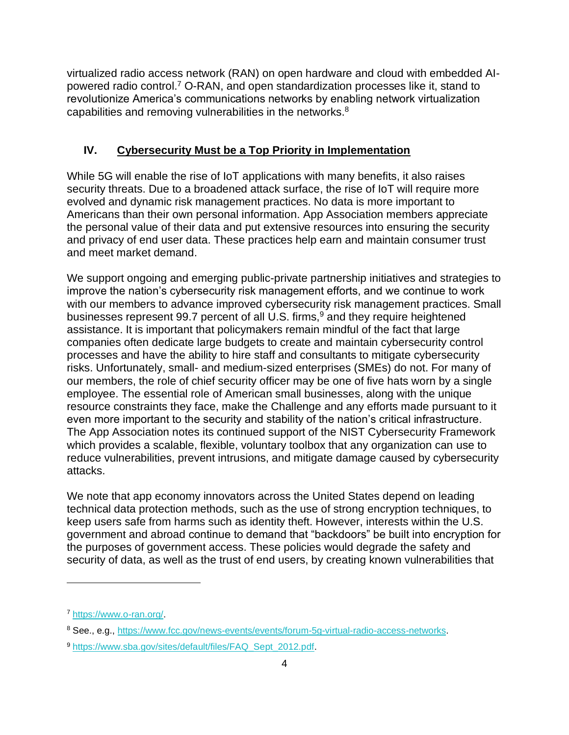virtualized radio access network (RAN) on open hardware and cloud with embedded AIpowered radio control.<sup>7</sup> O-RAN, and open standardization processes like it, stand to revolutionize America's communications networks by enabling network virtualization capabilities and removing vulnerabilities in the networks. $8$ 

# **IV. Cybersecurity Must be a Top Priority in Implementation**

While 5G will enable the rise of IoT applications with many benefits, it also raises security threats. Due to a broadened attack surface, the rise of IoT will require more evolved and dynamic risk management practices. No data is more important to Americans than their own personal information. App Association members appreciate the personal value of their data and put extensive resources into ensuring the security and privacy of end user data. These practices help earn and maintain consumer trust and meet market demand.

We support ongoing and emerging public-private partnership initiatives and strategies to improve the nation's cybersecurity risk management efforts, and we continue to work with our members to advance improved cybersecurity risk management practices. Small businesses represent 99.7 percent of all U.S. firms,<sup>9</sup> and they require heightened assistance. It is important that policymakers remain mindful of the fact that large companies often dedicate large budgets to create and maintain cybersecurity control processes and have the ability to hire staff and consultants to mitigate cybersecurity risks. Unfortunately, small- and medium-sized enterprises (SMEs) do not. For many of our members, the role of chief security officer may be one of five hats worn by a single employee. The essential role of American small businesses, along with the unique resource constraints they face, make the Challenge and any efforts made pursuant to it even more important to the security and stability of the nation's critical infrastructure. The App Association notes its continued support of the NIST Cybersecurity Framework which provides a scalable, flexible, voluntary toolbox that any organization can use to reduce vulnerabilities, prevent intrusions, and mitigate damage caused by cybersecurity attacks.

We note that app economy innovators across the United States depend on leading technical data protection methods, such as the use of strong encryption techniques, to keep users safe from harms such as identity theft. However, interests within the U.S. government and abroad continue to demand that "backdoors" be built into encryption for the purposes of government access. These policies would degrade the safety and security of data, as well as the trust of end users, by creating known vulnerabilities that

<sup>7</sup> [https://www.o-ran.org/.](https://www.o-ran.org/)

<sup>8</sup> See., e.g., [https://www.fcc.gov/news-events/events/forum-5g-virtual-radio-access-networks.](https://www.fcc.gov/news-events/events/forum-5g-virtual-radio-access-networks)

<sup>9</sup> [https://www.sba.gov/sites/default/files/FAQ\\_Sept\\_2012.pdf.](https://www.sba.gov/sites/default/files/FAQ_Sept_2012.pdf)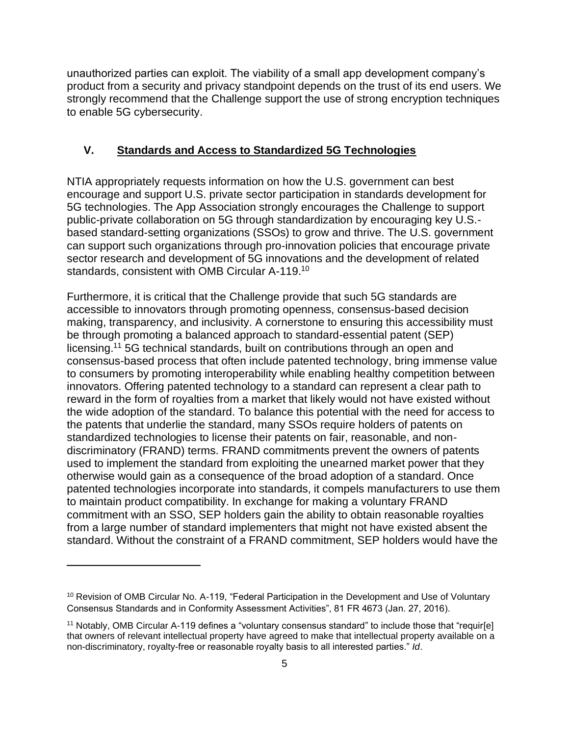unauthorized parties can exploit. The viability of a small app development company's product from a security and privacy standpoint depends on the trust of its end users. We strongly recommend that the Challenge support the use of strong encryption techniques to enable 5G cybersecurity.

#### **V. Standards and Access to Standardized 5G Technologies**

NTIA appropriately requests information on how the U.S. government can best encourage and support U.S. private sector participation in standards development for 5G technologies. The App Association strongly encourages the Challenge to support public-private collaboration on 5G through standardization by encouraging key U.S. based standard-setting organizations (SSOs) to grow and thrive. The U.S. government can support such organizations through pro-innovation policies that encourage private sector research and development of 5G innovations and the development of related standards, consistent with OMB Circular A-119.<sup>10</sup>

Furthermore, it is critical that the Challenge provide that such 5G standards are accessible to innovators through promoting openness, consensus-based decision making, transparency, and inclusivity. A cornerstone to ensuring this accessibility must be through promoting a balanced approach to standard-essential patent (SEP) licensing.<sup>11</sup> 5G technical standards, built on contributions through an open and consensus-based process that often include patented technology, bring immense value to consumers by promoting interoperability while enabling healthy competition between innovators. Offering patented technology to a standard can represent a clear path to reward in the form of royalties from a market that likely would not have existed without the wide adoption of the standard. To balance this potential with the need for access to the patents that underlie the standard, many SSOs require holders of patents on standardized technologies to license their patents on fair, reasonable, and nondiscriminatory (FRAND) terms. FRAND commitments prevent the owners of patents used to implement the standard from exploiting the unearned market power that they otherwise would gain as a consequence of the broad adoption of a standard. Once patented technologies incorporate into standards, it compels manufacturers to use them to maintain product compatibility. In exchange for making a voluntary FRAND commitment with an SSO, SEP holders gain the ability to obtain reasonable royalties from a large number of standard implementers that might not have existed absent the standard. Without the constraint of a FRAND commitment, SEP holders would have the

<sup>&</sup>lt;sup>10</sup> Revision of OMB Circular No. A-119, "Federal Participation in the Development and Use of Voluntary Consensus Standards and in Conformity Assessment Activities", 81 FR 4673 (Jan. 27, 2016).

<sup>&</sup>lt;sup>11</sup> Notably, OMB Circular A-119 defines a "voluntary consensus standard" to include those that "requir[e] that owners of relevant intellectual property have agreed to make that intellectual property available on a non-discriminatory, royalty-free or reasonable royalty basis to all interested parties." *Id*.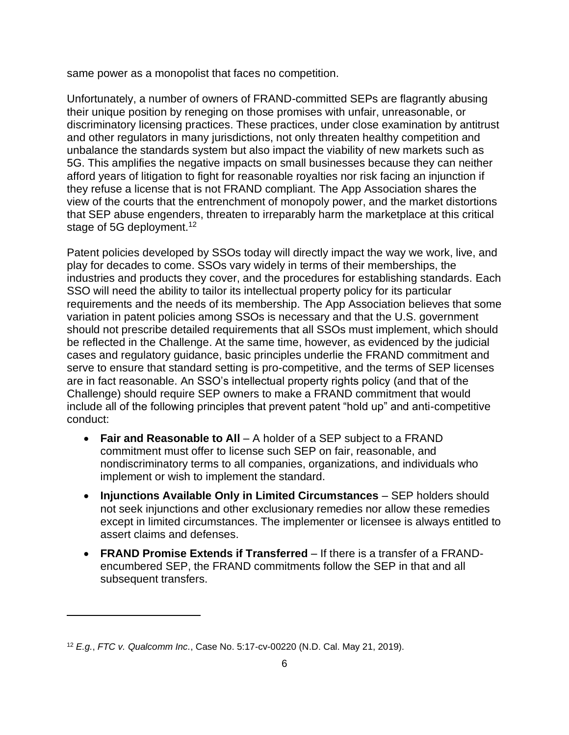same power as a monopolist that faces no competition.

Unfortunately, a number of owners of FRAND-committed SEPs are flagrantly abusing their unique position by reneging on those promises with unfair, unreasonable, or discriminatory licensing practices. These practices, under close examination by antitrust and other regulators in many jurisdictions, not only threaten healthy competition and unbalance the standards system but also impact the viability of new markets such as 5G. This amplifies the negative impacts on small businesses because they can neither afford years of litigation to fight for reasonable royalties nor risk facing an injunction if they refuse a license that is not FRAND compliant. The App Association shares the view of the courts that the entrenchment of monopoly power, and the market distortions that SEP abuse engenders, threaten to irreparably harm the marketplace at this critical stage of 5G deployment.<sup>12</sup>

Patent policies developed by SSOs today will directly impact the way we work, live, and play for decades to come. SSOs vary widely in terms of their memberships, the industries and products they cover, and the procedures for establishing standards. Each SSO will need the ability to tailor its intellectual property policy for its particular requirements and the needs of its membership. The App Association believes that some variation in patent policies among SSOs is necessary and that the U.S. government should not prescribe detailed requirements that all SSOs must implement, which should be reflected in the Challenge. At the same time, however, as evidenced by the judicial cases and regulatory guidance, basic principles underlie the FRAND commitment and serve to ensure that standard setting is pro-competitive, and the terms of SEP licenses are in fact reasonable. An SSO's intellectual property rights policy (and that of the Challenge) should require SEP owners to make a FRAND commitment that would include all of the following principles that prevent patent "hold up" and anti-competitive conduct:

- **Fair and Reasonable to All** A holder of a SEP subject to a FRAND commitment must offer to license such SEP on fair, reasonable, and nondiscriminatory terms to all companies, organizations, and individuals who implement or wish to implement the standard.
- **Injunctions Available Only in Limited Circumstances** SEP holders should not seek injunctions and other exclusionary remedies nor allow these remedies except in limited circumstances. The implementer or licensee is always entitled to assert claims and defenses.
- **FRAND Promise Extends if Transferred** If there is a transfer of a FRANDencumbered SEP, the FRAND commitments follow the SEP in that and all subsequent transfers.

<sup>12</sup> *E.g.*, *FTC v. Qualcomm Inc.*, Case No. 5:17-cv-00220 (N.D. Cal. May 21, 2019).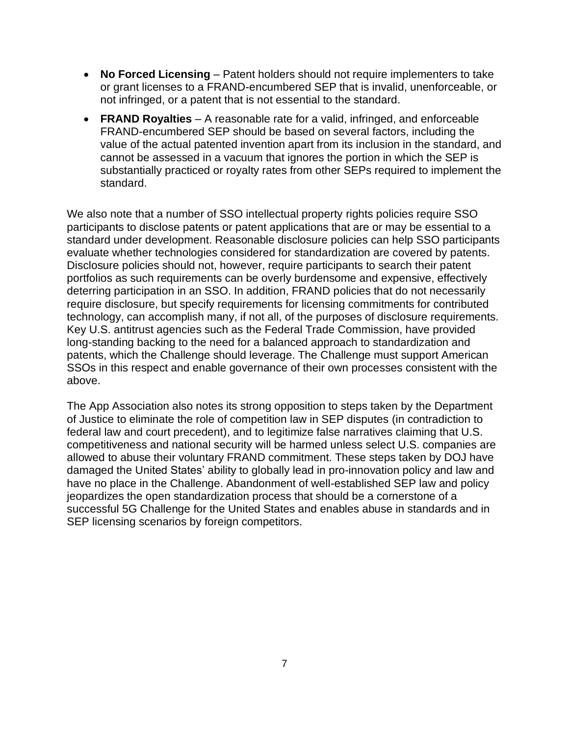- **No Forced Licensing** Patent holders should not require implementers to take or grant licenses to a FRAND-encumbered SEP that is invalid, unenforceable, or not infringed, or a patent that is not essential to the standard.
- **FRAND Royalties** A reasonable rate for a valid, infringed, and enforceable FRAND-encumbered SEP should be based on several factors, including the value of the actual patented invention apart from its inclusion in the standard, and cannot be assessed in a vacuum that ignores the portion in which the SEP is substantially practiced or royalty rates from other SEPs required to implement the standard.

We also note that a number of SSO intellectual property rights policies require SSO participants to disclose patents or patent applications that are or may be essential to a standard under development. Reasonable disclosure policies can help SSO participants evaluate whether technologies considered for standardization are covered by patents. Disclosure policies should not, however, require participants to search their patent portfolios as such requirements can be overly burdensome and expensive, effectively deterring participation in an SSO. In addition, FRAND policies that do not necessarily require disclosure, but specify requirements for licensing commitments for contributed technology, can accomplish many, if not all, of the purposes of disclosure requirements. Key U.S. antitrust agencies such as the Federal Trade Commission, have provided long-standing backing to the need for a balanced approach to standardization and patents, which the Challenge should leverage. The Challenge must support American SSOs in this respect and enable governance of their own processes consistent with the above.

The App Association also notes its strong opposition to steps taken by the Department of Justice to eliminate the role of competition law in SEP disputes (in contradiction to federal law and court precedent), and to legitimize false narratives claiming that U.S. competitiveness and national security will be harmed unless select U.S. companies are allowed to abuse their voluntary FRAND commitment. These steps taken by DOJ have damaged the United States' ability to globally lead in pro-innovation policy and law and have no place in the Challenge. Abandonment of well-established SEP law and policy jeopardizes the open standardization process that should be a cornerstone of a successful 5G Challenge for the United States and enables abuse in standards and in SEP licensing scenarios by foreign competitors.